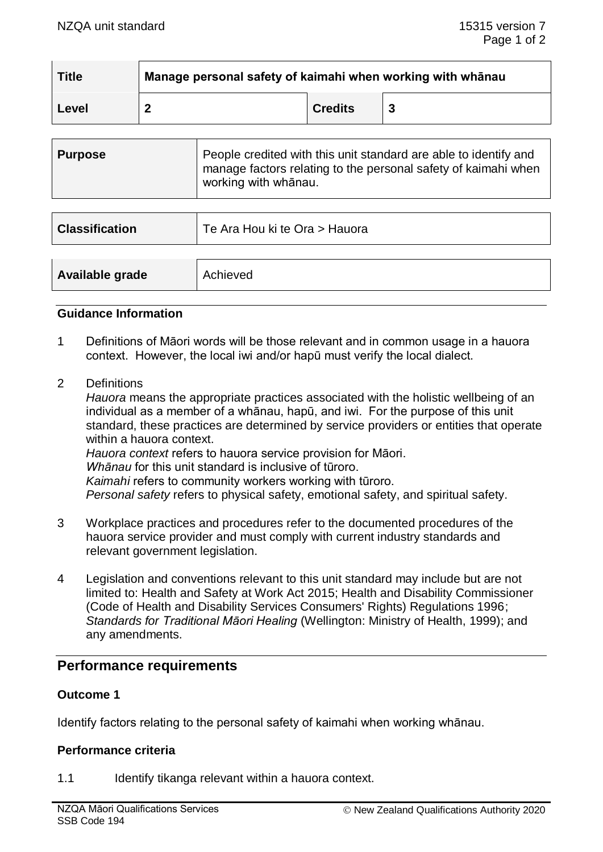| <b>Title</b> | Manage personal safety of kaimahi when working with whanau |                |  |
|--------------|------------------------------------------------------------|----------------|--|
| Level        |                                                            | <b>Credits</b> |  |

| <b>Purpose</b> | People credited with this unit standard are able to identify and<br>manage factors relating to the personal safety of kaimahi when |
|----------------|------------------------------------------------------------------------------------------------------------------------------------|
|                | working with whānau.                                                                                                               |

| <b>Classification</b> | Te Ara Hou ki te Ora > Hauora |
|-----------------------|-------------------------------|
|                       |                               |
| Available grade       | Achieved                      |

### **Guidance Information**

- 1 Definitions of Māori words will be those relevant and in common usage in a hauora context. However, the local iwi and/or hapū must verify the local dialect.
- 2 Definitions

*Hauora* means the appropriate practices associated with the holistic wellbeing of an individual as a member of a whānau, hapū, and iwi. For the purpose of this unit standard, these practices are determined by service providers or entities that operate within a hauora context. *Hauora context* refers to hauora service provision for Māori. *Whānau* for this unit standard is inclusive of tūroro.

*Kaimahi* refers to community workers working with tūroro.

*Personal safety* refers to physical safety, emotional safety, and spiritual safety.

- 3 Workplace practices and procedures refer to the documented procedures of the hauora service provider and must comply with current industry standards and relevant government legislation.
- 4 Legislation and conventions relevant to this unit standard may include but are not limited to: Health and Safety at Work Act 2015; Health and Disability Commissioner (Code of Health and Disability Services Consumers' Rights) Regulations 1996; *Standards for Traditional Māori Healing* (Wellington: Ministry of Health, 1999); and any amendments.

# **Performance requirements**

# **Outcome 1**

Identify factors relating to the personal safety of kaimahi when working whānau.

#### **Performance criteria**

1.1 Identify tikanga relevant within a hauora context.